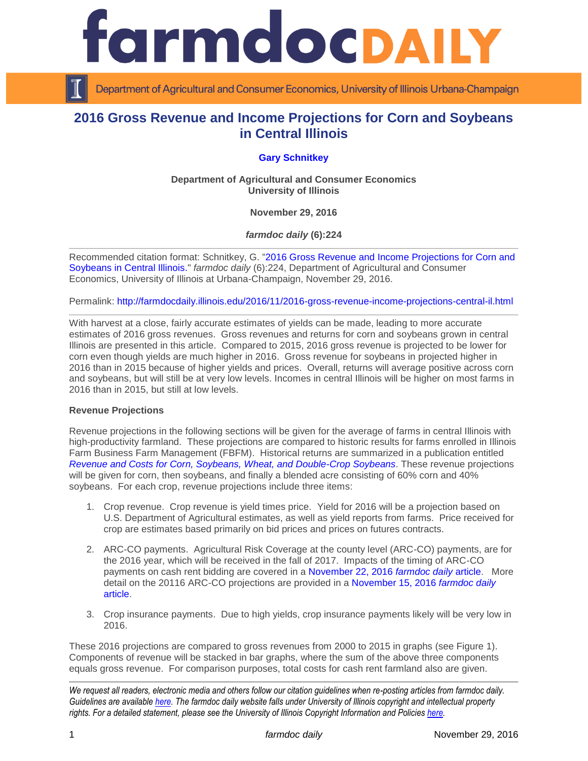



Department of Agricultural and Consumer Economics, University of Illinois Urbana-Champaign

# **2016 Gross Revenue and Income Projections for Corn and Soybeans in Central Illinois**

## **[Gary Schnitkey](http://farmdoc.illinois.edu/schnitkey)**

**Department of Agricultural and Consumer Economics University of Illinois**

**November 29, 2016**

*farmdoc daily* **(6):224**

Recommended citation format: Schnitkey, G. ["2016 Gross Revenue and Income Projections for Corn and](http://farmdocdaily.illinois.edu/2016/11/2016-gross-revenue-income-projections-central-il.html)  [Soybeans in Central Illinois.](http://farmdocdaily.illinois.edu/2016/11/2016-gross-revenue-income-projections-central-il.html)" *farmdoc daily* (6):224, Department of Agricultural and Consumer Economics, University of Illinois at Urbana-Champaign, November 29, 2016.

Permalink: <http://farmdocdaily.illinois.edu/2016/11/2016-gross-revenue-income-projections-central-il.html>

With harvest at a close, fairly accurate estimates of yields can be made, leading to more accurate estimates of 2016 gross revenues. Gross revenues and returns for corn and soybeans grown in central Illinois are presented in this article. Compared to 2015, 2016 gross revenue is projected to be lower for corn even though yields are much higher in 2016. Gross revenue for soybeans in projected higher in 2016 than in 2015 because of higher yields and prices. Overall, returns will average positive across corn and soybeans, but will still be at very low levels. Incomes in central Illinois will be higher on most farms in 2016 than in 2015, but still at low levels.

#### **Revenue Projections**

Revenue projections in the following sections will be given for the average of farms in central Illinois with high-productivity farmland. These projections are compared to historic results for farms enrolled in Illinois Farm Business Farm Management (FBFM). Historical returns are summarized in a publication entitled *[Revenue and Costs for Corn, Soybeans, Wheat, and Double-Crop Soybeans](http://farmdoc.illinois.edu/manage/actual_projected_costs.pdf)*. These revenue projections will be given for corn, then soybeans, and finally a blended acre consisting of 60% corn and 40% soybeans. For each crop, revenue projections include three items:

- 1. Crop revenue. Crop revenue is yield times price. Yield for 2016 will be a projection based on U.S. Department of Agricultural estimates, as well as yield reports from farms. Price received for crop are estimates based primarily on bid prices and prices on futures contracts.
- 2. ARC-CO payments. Agricultural Risk Coverage at the county level (ARC-CO) payments, are for the 2016 year, which will be received in the fall of 2017. Impacts of the timing of ARC-CO payments on cash rent bidding are covered in a [November 22, 2016](http://farmdocdaily.illinois.edu/2016/11/arc-co-payment-timing-and-cash-rent-bidding.html) *farmdoc daily* article. More detail on the 20116 ARC-CO projections are provided in a [November 15, 2016](http://farmdocdaily.illinois.edu/2016/11/first-projections-of-2016-arc-co-payments.html) *farmdoc daily* [article.](http://farmdocdaily.illinois.edu/2016/11/first-projections-of-2016-arc-co-payments.html)
- 3. Crop insurance payments. Due to high yields, crop insurance payments likely will be very low in 2016.

These 2016 projections are compared to gross revenues from 2000 to 2015 in graphs (see Figure 1). Components of revenue will be stacked in bar graphs, where the sum of the above three components equals gross revenue. For comparison purposes, total costs for cash rent farmland also are given.

*We request all readers, electronic media and others follow our citation guidelines when re-posting articles from farmdoc daily. Guidelines are available [here.](http://farmdocdaily.illinois.edu/citationguide.html) The farmdoc daily website falls under University of Illinois copyright and intellectual property rights. For a detailed statement, please see the University of Illinois Copyright Information and Policies [here.](http://www.cio.illinois.edu/policies/copyright/)*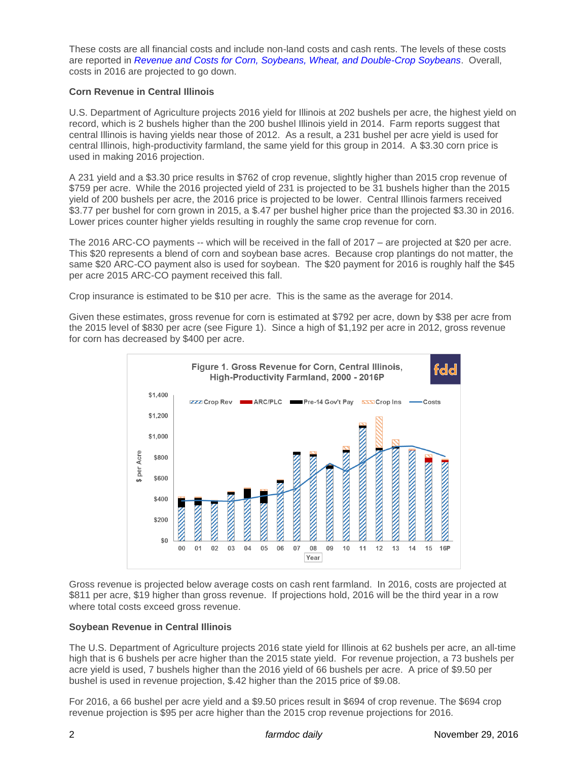These costs are all financial costs and include non-land costs and cash rents. The levels of these costs are reported in *[Revenue and Costs for Corn, Soybeans, Wheat, and Double-Crop Soybeans](http://farmdoc.illinois.edu/manage/actual_projected_costs.pdf)*. Overall, costs in 2016 are projected to go down.

### **Corn Revenue in Central Illinois**

U.S. Department of Agriculture projects 2016 yield for Illinois at 202 bushels per acre, the highest yield on record, which is 2 bushels higher than the 200 bushel Illinois yield in 2014. Farm reports suggest that central Illinois is having yields near those of 2012. As a result, a 231 bushel per acre yield is used for central Illinois, high-productivity farmland, the same yield for this group in 2014. A \$3.30 corn price is used in making 2016 projection.

A 231 yield and a \$3.30 price results in \$762 of crop revenue, slightly higher than 2015 crop revenue of \$759 per acre. While the 2016 projected yield of 231 is projected to be 31 bushels higher than the 2015 yield of 200 bushels per acre, the 2016 price is projected to be lower. Central Illinois farmers received \$3.77 per bushel for corn grown in 2015, a \$.47 per bushel higher price than the projected \$3.30 in 2016. Lower prices counter higher yields resulting in roughly the same crop revenue for corn.

The 2016 ARC-CO payments -- which will be received in the fall of 2017 – are projected at \$20 per acre. This \$20 represents a blend of corn and soybean base acres. Because crop plantings do not matter, the same \$20 ARC-CO payment also is used for soybean. The \$20 payment for 2016 is roughly half the \$45 per acre 2015 ARC-CO payment received this fall.

Crop insurance is estimated to be \$10 per acre. This is the same as the average for 2014.

Given these estimates, gross revenue for corn is estimated at \$792 per acre, down by \$38 per acre from the 2015 level of \$830 per acre (see Figure 1). Since a high of \$1,192 per acre in 2012, gross revenue for corn has decreased by \$400 per acre.



Gross revenue is projected below average costs on cash rent farmland. In 2016, costs are projected at \$811 per acre, \$19 higher than gross revenue. If projections hold, 2016 will be the third year in a row where total costs exceed gross revenue.

#### **Soybean Revenue in Central Illinois**

The U.S. Department of Agriculture projects 2016 state yield for Illinois at 62 bushels per acre, an all-time high that is 6 bushels per acre higher than the 2015 state yield. For revenue projection, a 73 bushels per acre yield is used, 7 bushels higher than the 2016 yield of 66 bushels per acre. A price of \$9.50 per bushel is used in revenue projection, \$.42 higher than the 2015 price of \$9.08.

For 2016, a 66 bushel per acre yield and a \$9.50 prices result in \$694 of crop revenue. The \$694 crop revenue projection is \$95 per acre higher than the 2015 crop revenue projections for 2016.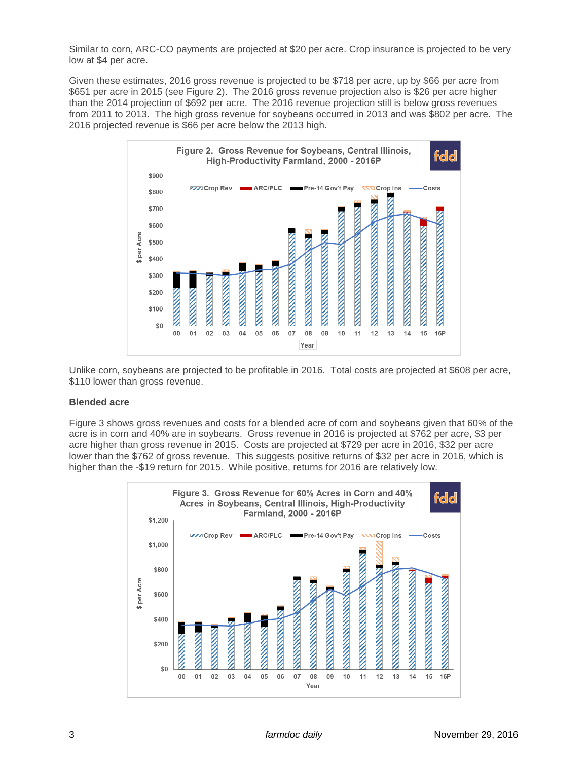Similar to corn, ARC-CO payments are projected at \$20 per acre. Crop insurance is projected to be very low at \$4 per acre.

Given these estimates, 2016 gross revenue is projected to be \$718 per acre, up by \$66 per acre from \$651 per acre in 2015 (see Figure 2). The 2016 gross revenue projection also is \$26 per acre higher than the 2014 projection of \$692 per acre. The 2016 revenue projection still is below gross revenues from 2011 to 2013. The high gross revenue for soybeans occurred in 2013 and was \$802 per acre. The 2016 projected revenue is \$66 per acre below the 2013 high.



Unlike corn, soybeans are projected to be profitable in 2016. Total costs are projected at \$608 per acre, \$110 lower than gross revenue.

#### **Blended acre**

Figure 3 shows gross revenues and costs for a blended acre of corn and soybeans given that 60% of the acre is in corn and 40% are in soybeans. Gross revenue in 2016 is projected at \$762 per acre, \$3 per acre higher than gross revenue in 2015. Costs are projected at \$729 per acre in 2016, \$32 per acre lower than the \$762 of gross revenue. This suggests positive returns of \$32 per acre in 2016, which is higher than the -\$19 return for 2015. While positive, returns for 2016 are relatively low.